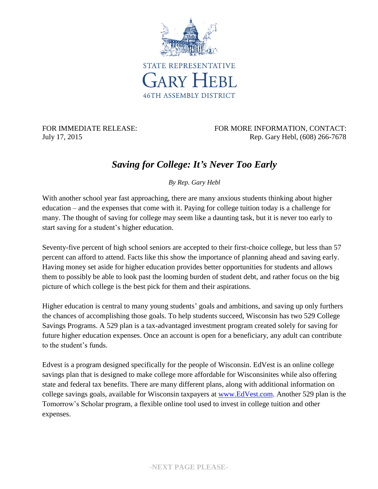

FOR IMMEDIATE RELEASE: FOR MORE INFORMATION, CONTACT: July 17, 2015 Rep. Gary Hebl, (608) 266-7678

## *Saving for College: It's Never Too Early*

*By Rep. Gary Hebl*

With another school year fast approaching, there are many anxious students thinking about higher education – and the expenses that come with it. Paying for college tuition today is a challenge for many. The thought of saving for college may seem like a daunting task, but it is never too early to start saving for a student's higher education.

Seventy-five percent of high school seniors are accepted to their first-choice college, but less than 57 percent can afford to attend. Facts like this show the importance of planning ahead and saving early. Having money set aside for higher education provides better opportunities for students and allows them to possibly be able to look past the looming burden of student debt, and rather focus on the big picture of which college is the best pick for them and their aspirations.

Higher education is central to many young students' goals and ambitions, and saving up only furthers the chances of accomplishing those goals. To help students succeed, Wisconsin has two 529 College Savings Programs. A 529 plan is a tax-advantaged investment program created solely for saving for future higher education expenses. Once an account is open for a beneficiary, any adult can contribute to the student's funds.

Edvest is a program designed specifically for the people of Wisconsin. EdVest is an online college savings plan that is designed to make college more affordable for Wisconsinites while also offering state and federal tax benefits. There are many different plans, along with additional information on college savings goals, available for Wisconsin taxpayers at [www.EdVest.com.](www.EdVest.com) Another 529 plan is the Tomorrow's Scholar program, a flexible online tool used to invest in college tuition and other expenses.